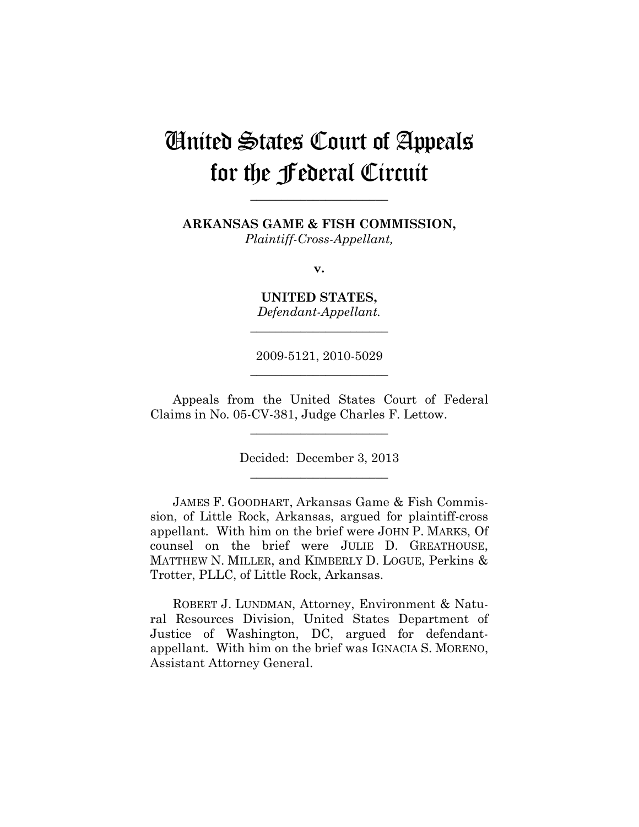# United States Court of Appeals for the Federal Circuit

**ARKANSAS GAME & FISH COMMISSION,**

**\_\_\_\_\_\_\_\_\_\_\_\_\_\_\_\_\_\_\_\_\_\_** 

*Plaintiff-Cross-Appellant,*

**v.**

**UNITED STATES,** *Defendant-Appellant.*

**\_\_\_\_\_\_\_\_\_\_\_\_\_\_\_\_\_\_\_\_\_\_** 

2009-5121, 2010-5029 **\_\_\_\_\_\_\_\_\_\_\_\_\_\_\_\_\_\_\_\_\_\_** 

Appeals from the United States Court of Federal Claims in No. 05-CV-381, Judge Charles F. Lettow.

**\_\_\_\_\_\_\_\_\_\_\_\_\_\_\_\_\_\_\_\_\_\_** 

Decided: December 3, 2013 **\_\_\_\_\_\_\_\_\_\_\_\_\_\_\_\_\_\_\_\_\_\_** 

JAMES F. GOODHART, Arkansas Game & Fish Commission, of Little Rock, Arkansas, argued for plaintiff-cross appellant. With him on the brief were JOHN P. MARKS, Of counsel on the brief were JULIE D. GREATHOUSE, MATTHEW N. MILLER, and KIMBERLY D. LOGUE, Perkins & Trotter, PLLC, of Little Rock, Arkansas.

ROBERT J. LUNDMAN, Attorney, Environment & Natural Resources Division, United States Department of Justice of Washington, DC, argued for defendantappellant. With him on the brief was IGNACIA S. MORENO, Assistant Attorney General.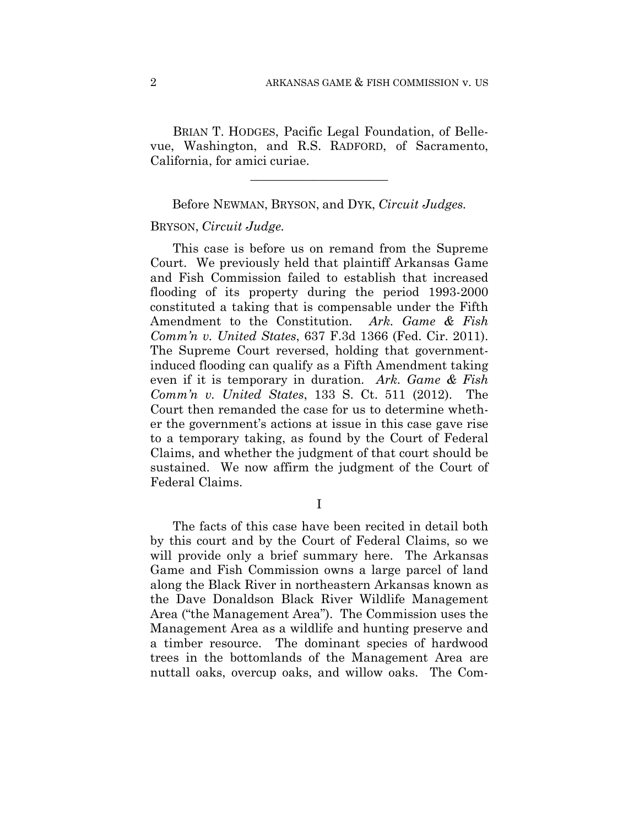BRIAN T. HODGES, Pacific Legal Foundation, of Bellevue, Washington, and R.S. RADFORD, of Sacramento, California, for amici curiae.

Before NEWMAN, BRYSON, and DYK, *Circuit Judges.*

**\_\_\_\_\_\_\_\_\_\_\_\_\_\_\_\_\_\_\_\_\_\_** 

#### BRYSON, *Circuit Judge.*

This case is before us on remand from the Supreme Court. We previously held that plaintiff Arkansas Game and Fish Commission failed to establish that increased flooding of its property during the period 1993-2000 constituted a taking that is compensable under the Fifth Amendment to the Constitution. *Ark. Game & Fish Comm'n v. United States*, 637 F.3d 1366 (Fed. Cir. 2011). The Supreme Court reversed, holding that governmentinduced flooding can qualify as a Fifth Amendment taking even if it is temporary in duration. *Ark. Game & Fish Comm'n v. United States*, 133 S. Ct. 511 (2012). The Court then remanded the case for us to determine whether the government's actions at issue in this case gave rise to a temporary taking, as found by the Court of Federal Claims, and whether the judgment of that court should be sustained. We now affirm the judgment of the Court of Federal Claims.

I

The facts of this case have been recited in detail both by this court and by the Court of Federal Claims, so we will provide only a brief summary here. The Arkansas Game and Fish Commission owns a large parcel of land along the Black River in northeastern Arkansas known as the Dave Donaldson Black River Wildlife Management Area ("the Management Area"). The Commission uses the Management Area as a wildlife and hunting preserve and a timber resource. The dominant species of hardwood trees in the bottomlands of the Management Area are nuttall oaks, overcup oaks, and willow oaks. The Com-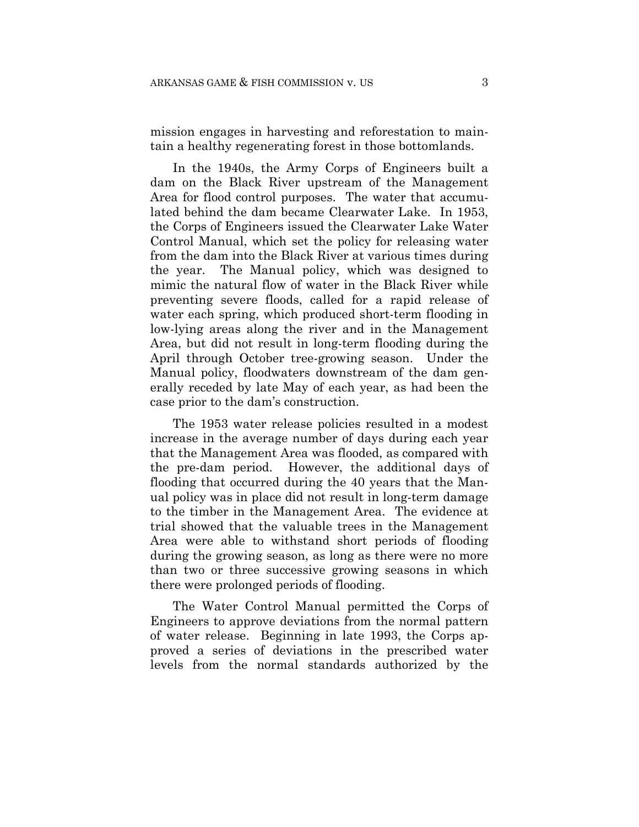mission engages in harvesting and reforestation to maintain a healthy regenerating forest in those bottomlands.

In the 1940s, the Army Corps of Engineers built a dam on the Black River upstream of the Management Area for flood control purposes. The water that accumulated behind the dam became Clearwater Lake. In 1953, the Corps of Engineers issued the Clearwater Lake Water Control Manual, which set the policy for releasing water from the dam into the Black River at various times during the year. The Manual policy, which was designed to mimic the natural flow of water in the Black River while preventing severe floods, called for a rapid release of water each spring, which produced short-term flooding in low-lying areas along the river and in the Management Area, but did not result in long-term flooding during the April through October tree-growing season. Under the Manual policy, floodwaters downstream of the dam generally receded by late May of each year, as had been the case prior to the dam's construction.

The 1953 water release policies resulted in a modest increase in the average number of days during each year that the Management Area was flooded, as compared with the pre-dam period. However, the additional days of flooding that occurred during the 40 years that the Manual policy was in place did not result in long-term damage to the timber in the Management Area. The evidence at trial showed that the valuable trees in the Management Area were able to withstand short periods of flooding during the growing season, as long as there were no more than two or three successive growing seasons in which there were prolonged periods of flooding.

The Water Control Manual permitted the Corps of Engineers to approve deviations from the normal pattern of water release. Beginning in late 1993, the Corps approved a series of deviations in the prescribed water levels from the normal standards authorized by the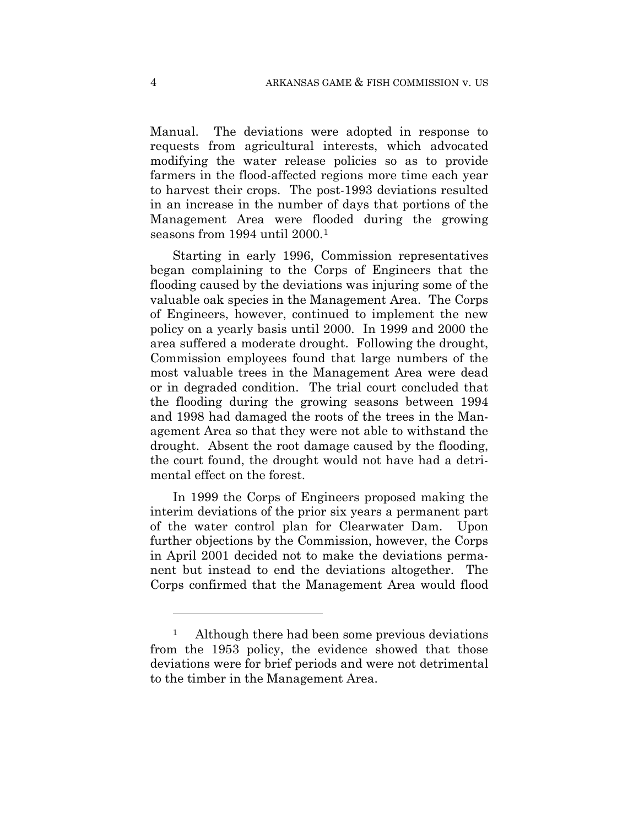Manual. The deviations were adopted in response to requests from agricultural interests, which advocated modifying the water release policies so as to provide farmers in the flood-affected regions more time each year to harvest their crops. The post-1993 deviations resulted in an increase in the number of days that portions of the Management Area were flooded during the growing seasons from 1994 until 2000.<sup>1</sup>

Starting in early 1996, Commission representatives began complaining to the Corps of Engineers that the flooding caused by the deviations was injuring some of the valuable oak species in the Management Area. The Corps of Engineers, however, continued to implement the new policy on a yearly basis until 2000. In 1999 and 2000 the area suffered a moderate drought. Following the drought, Commission employees found that large numbers of the most valuable trees in the Management Area were dead or in degraded condition. The trial court concluded that the flooding during the growing seasons between 1994 and 1998 had damaged the roots of the trees in the Management Area so that they were not able to withstand the drought. Absent the root damage caused by the flooding, the court found, the drought would not have had a detrimental effect on the forest.

In 1999 the Corps of Engineers proposed making the interim deviations of the prior six years a permanent part of the water control plan for Clearwater Dam. Upon further objections by the Commission, however, the Corps in April 2001 decided not to make the deviations permanent but instead to end the deviations altogether. The Corps confirmed that the Management Area would flood

<u>.</u>

<sup>&</sup>lt;sup>1</sup> Although there had been some previous deviations from the 1953 policy, the evidence showed that those deviations were for brief periods and were not detrimental to the timber in the Management Area.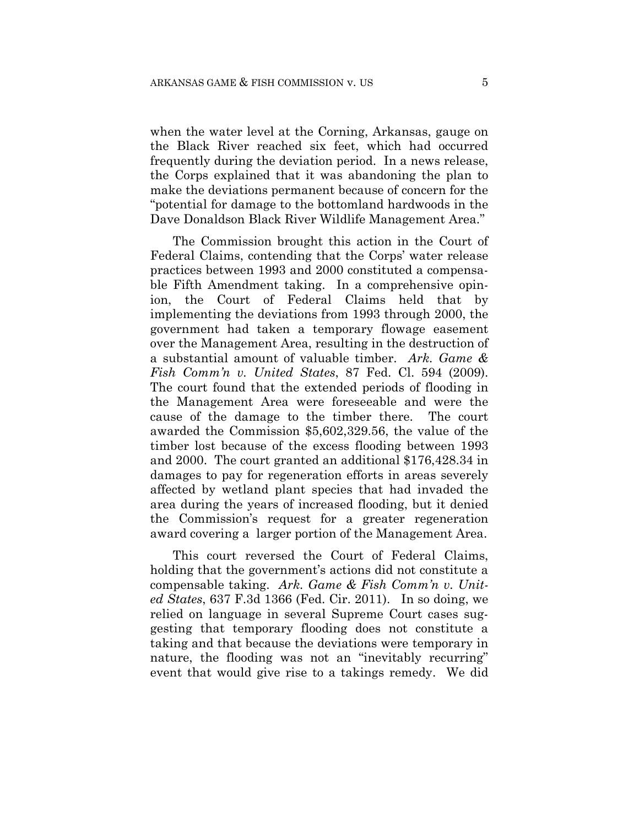when the water level at the Corning, Arkansas, gauge on the Black River reached six feet, which had occurred frequently during the deviation period. In a news release, the Corps explained that it was abandoning the plan to make the deviations permanent because of concern for the "potential for damage to the bottomland hardwoods in the Dave Donaldson Black River Wildlife Management Area."

 The Commission brought this action in the Court of Federal Claims, contending that the Corps' water release practices between 1993 and 2000 constituted a compensable Fifth Amendment taking. In a comprehensive opinion, the Court of Federal Claims held that by implementing the deviations from 1993 through 2000, the government had taken a temporary flowage easement over the Management Area, resulting in the destruction of a substantial amount of valuable timber. *Ark. Game & Fish Comm'n v. United States*, 87 Fed. Cl. 594 (2009). The court found that the extended periods of flooding in the Management Area were foreseeable and were the cause of the damage to the timber there. The court awarded the Commission \$5,602,329.56, the value of the timber lost because of the excess flooding between 1993 and 2000. The court granted an additional \$176,428.34 in damages to pay for regeneration efforts in areas severely affected by wetland plant species that had invaded the area during the years of increased flooding, but it denied the Commission's request for a greater regeneration award covering a larger portion of the Management Area.

This court reversed the Court of Federal Claims, holding that the government's actions did not constitute a compensable taking. *Ark. Game & Fish Comm'n v. United States*, 637 F.3d 1366 (Fed. Cir. 2011). In so doing, we relied on language in several Supreme Court cases suggesting that temporary flooding does not constitute a taking and that because the deviations were temporary in nature, the flooding was not an "inevitably recurring" event that would give rise to a takings remedy. We did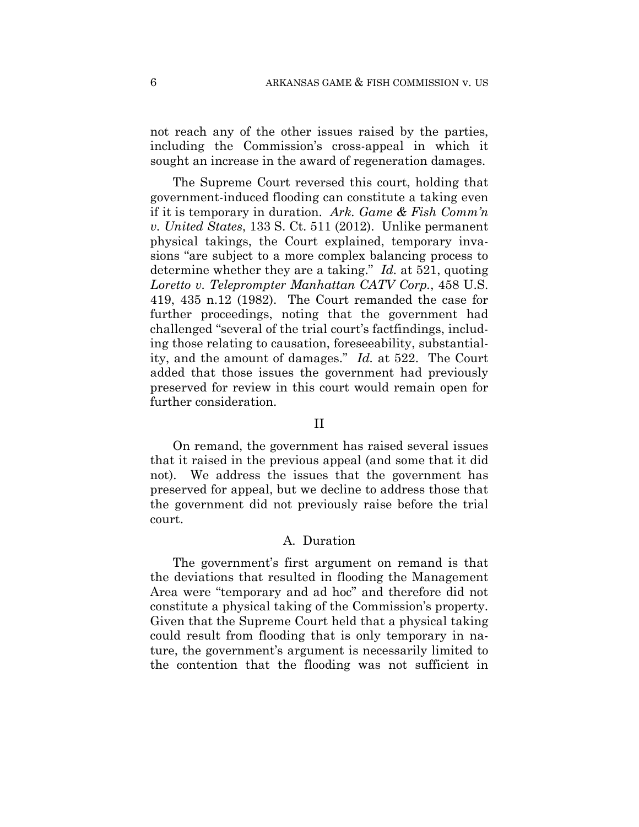not reach any of the other issues raised by the parties, including the Commission's cross-appeal in which it sought an increase in the award of regeneration damages.

The Supreme Court reversed this court, holding that government-induced flooding can constitute a taking even if it is temporary in duration. *Ark. Game & Fish Comm'n v. United States*, 133 S. Ct. 511 (2012). Unlike permanent physical takings, the Court explained, temporary invasions "are subject to a more complex balancing process to determine whether they are a taking." *Id.* at 521, quoting *Loretto v. Teleprompter Manhattan CATV Corp.*, 458 U.S. 419, 435 n.12 (1982). The Court remanded the case for further proceedings, noting that the government had challenged "several of the trial court's factfindings, including those relating to causation, foreseeability, substantiality, and the amount of damages." *Id.* at 522. The Court added that those issues the government had previously preserved for review in this court would remain open for further consideration.

## II

On remand, the government has raised several issues that it raised in the previous appeal (and some that it did not). We address the issues that the government has preserved for appeal, but we decline to address those that the government did not previously raise before the trial court.

## A. Duration

The government's first argument on remand is that the deviations that resulted in flooding the Management Area were "temporary and ad hoc" and therefore did not constitute a physical taking of the Commission's property. Given that the Supreme Court held that a physical taking could result from flooding that is only temporary in nature, the government's argument is necessarily limited to the contention that the flooding was not sufficient in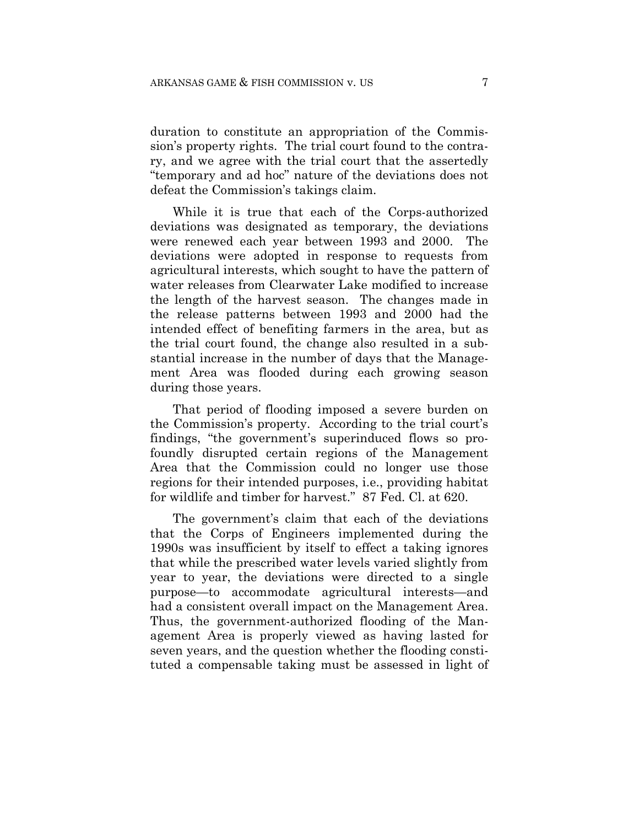duration to constitute an appropriation of the Commission's property rights. The trial court found to the contrary, and we agree with the trial court that the assertedly "temporary and ad hoc" nature of the deviations does not defeat the Commission's takings claim.

While it is true that each of the Corps-authorized deviations was designated as temporary, the deviations were renewed each year between 1993 and 2000. The deviations were adopted in response to requests from agricultural interests, which sought to have the pattern of water releases from Clearwater Lake modified to increase the length of the harvest season. The changes made in the release patterns between 1993 and 2000 had the intended effect of benefiting farmers in the area, but as the trial court found, the change also resulted in a substantial increase in the number of days that the Management Area was flooded during each growing season during those years.

That period of flooding imposed a severe burden on the Commission's property. According to the trial court's findings, "the government's superinduced flows so profoundly disrupted certain regions of the Management Area that the Commission could no longer use those regions for their intended purposes, i.e., providing habitat for wildlife and timber for harvest." 87 Fed. Cl. at 620.

The government's claim that each of the deviations that the Corps of Engineers implemented during the 1990s was insufficient by itself to effect a taking ignores that while the prescribed water levels varied slightly from year to year, the deviations were directed to a single purpose—to accommodate agricultural interests—and had a consistent overall impact on the Management Area. Thus, the government-authorized flooding of the Management Area is properly viewed as having lasted for seven years, and the question whether the flooding constituted a compensable taking must be assessed in light of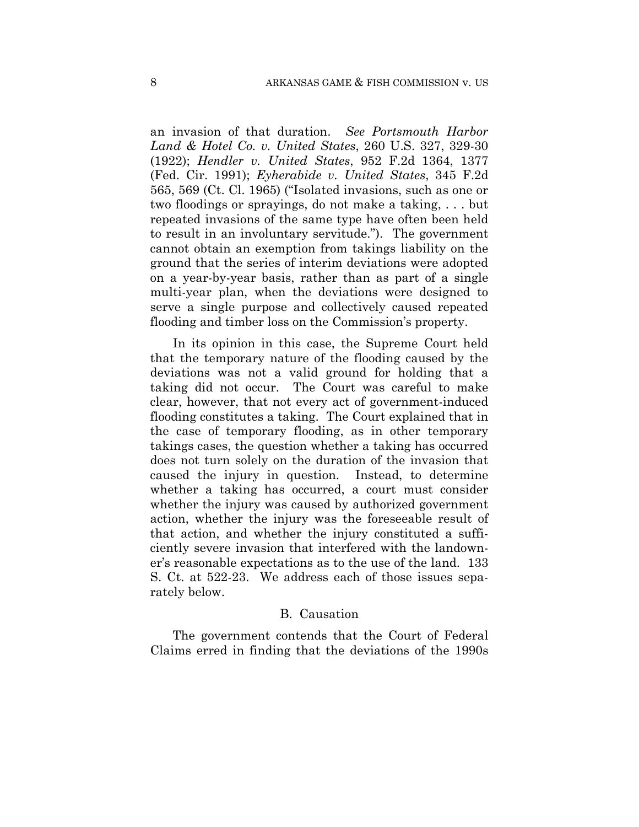an invasion of that duration. *See Portsmouth Harbor Land & Hotel Co. v. United States*, 260 U.S. 327, 329-30 (1922); *Hendler v. United States*, 952 F.2d 1364, 1377 (Fed. Cir. 1991); *Eyherabide v. United States*, 345 F.2d 565, 569 (Ct. Cl. 1965) ("Isolated invasions, such as one or two floodings or sprayings, do not make a taking, . . . but repeated invasions of the same type have often been held to result in an involuntary servitude."). The government cannot obtain an exemption from takings liability on the ground that the series of interim deviations were adopted on a year-by-year basis, rather than as part of a single multi-year plan, when the deviations were designed to serve a single purpose and collectively caused repeated flooding and timber loss on the Commission's property.

In its opinion in this case, the Supreme Court held that the temporary nature of the flooding caused by the deviations was not a valid ground for holding that a taking did not occur. The Court was careful to make clear, however, that not every act of government-induced flooding constitutes a taking. The Court explained that in the case of temporary flooding, as in other temporary takings cases, the question whether a taking has occurred does not turn solely on the duration of the invasion that caused the injury in question. Instead, to determine whether a taking has occurred, a court must consider whether the injury was caused by authorized government action, whether the injury was the foreseeable result of that action, and whether the injury constituted a sufficiently severe invasion that interfered with the landowner's reasonable expectations as to the use of the land. 133 S. Ct. at 522-23. We address each of those issues separately below.

#### B. Causation

The government contends that the Court of Federal Claims erred in finding that the deviations of the 1990s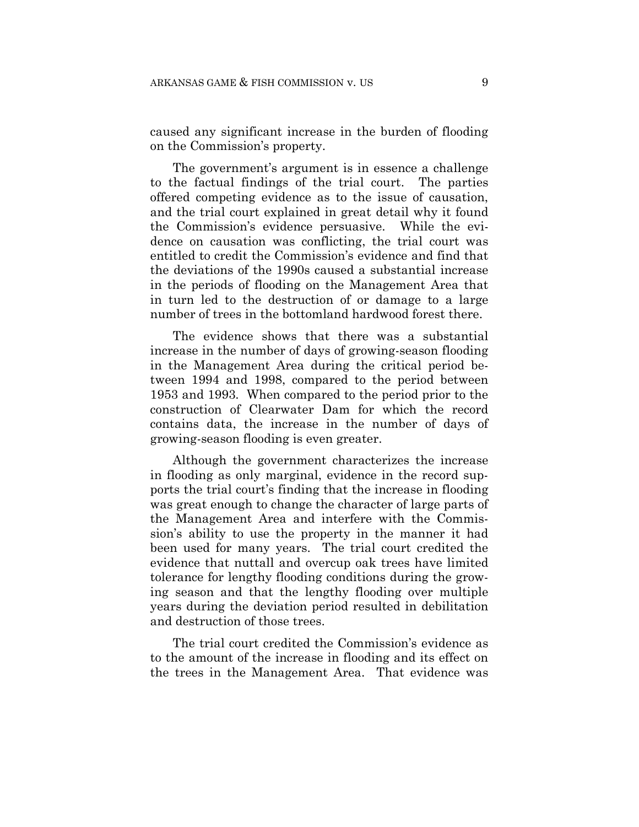caused any significant increase in the burden of flooding on the Commission's property.

The government's argument is in essence a challenge to the factual findings of the trial court. The parties offered competing evidence as to the issue of causation, and the trial court explained in great detail why it found the Commission's evidence persuasive. While the evidence on causation was conflicting, the trial court was entitled to credit the Commission's evidence and find that the deviations of the 1990s caused a substantial increase in the periods of flooding on the Management Area that in turn led to the destruction of or damage to a large number of trees in the bottomland hardwood forest there.

The evidence shows that there was a substantial increase in the number of days of growing-season flooding in the Management Area during the critical period between 1994 and 1998, compared to the period between 1953 and 1993. When compared to the period prior to the construction of Clearwater Dam for which the record contains data, the increase in the number of days of growing-season flooding is even greater.

Although the government characterizes the increase in flooding as only marginal, evidence in the record supports the trial court's finding that the increase in flooding was great enough to change the character of large parts of the Management Area and interfere with the Commission's ability to use the property in the manner it had been used for many years. The trial court credited the evidence that nuttall and overcup oak trees have limited tolerance for lengthy flooding conditions during the growing season and that the lengthy flooding over multiple years during the deviation period resulted in debilitation and destruction of those trees.

The trial court credited the Commission's evidence as to the amount of the increase in flooding and its effect on the trees in the Management Area. That evidence was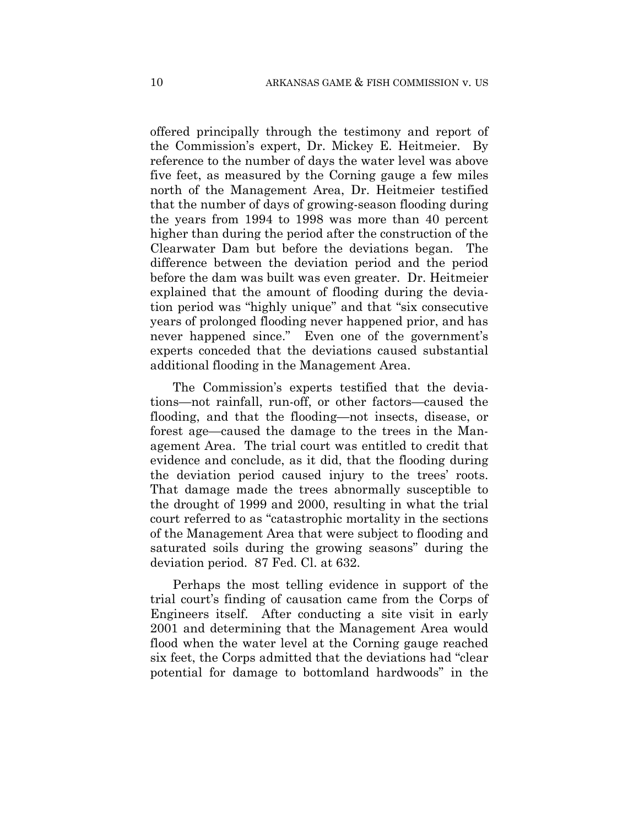offered principally through the testimony and report of the Commission's expert, Dr. Mickey E. Heitmeier. By reference to the number of days the water level was above five feet, as measured by the Corning gauge a few miles north of the Management Area, Dr. Heitmeier testified that the number of days of growing-season flooding during the years from 1994 to 1998 was more than 40 percent higher than during the period after the construction of the Clearwater Dam but before the deviations began. The difference between the deviation period and the period before the dam was built was even greater. Dr. Heitmeier explained that the amount of flooding during the deviation period was "highly unique" and that "six consecutive years of prolonged flooding never happened prior, and has never happened since." Even one of the government's experts conceded that the deviations caused substantial additional flooding in the Management Area.

The Commission's experts testified that the deviations—not rainfall, run-off, or other factors—caused the flooding, and that the flooding—not insects, disease, or forest age—caused the damage to the trees in the Management Area. The trial court was entitled to credit that evidence and conclude, as it did, that the flooding during the deviation period caused injury to the trees' roots. That damage made the trees abnormally susceptible to the drought of 1999 and 2000, resulting in what the trial court referred to as "catastrophic mortality in the sections of the Management Area that were subject to flooding and saturated soils during the growing seasons" during the deviation period. 87 Fed. Cl. at 632.

Perhaps the most telling evidence in support of the trial court's finding of causation came from the Corps of Engineers itself. After conducting a site visit in early 2001 and determining that the Management Area would flood when the water level at the Corning gauge reached six feet, the Corps admitted that the deviations had "clear potential for damage to bottomland hardwoods" in the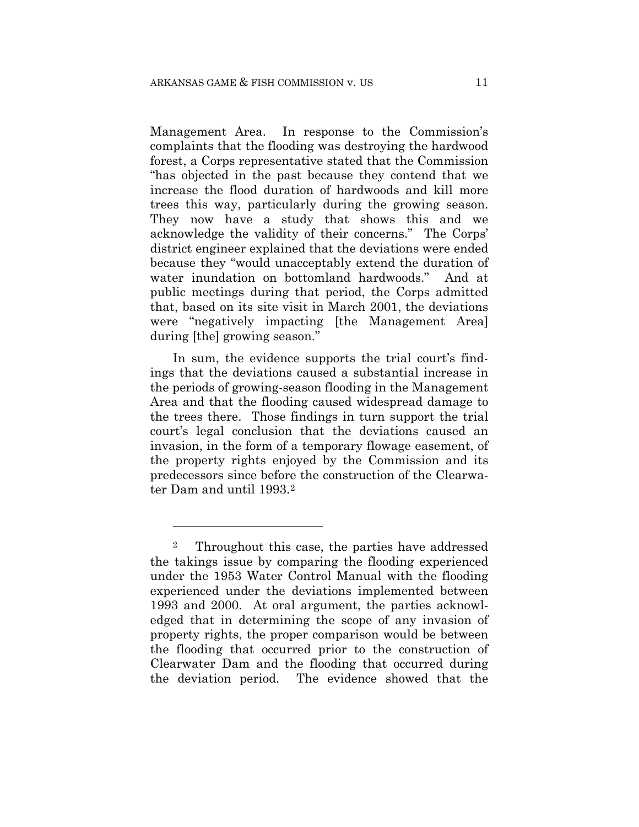Management Area. In response to the Commission's complaints that the flooding was destroying the hardwood forest, a Corps representative stated that the Commission "has objected in the past because they contend that we increase the flood duration of hardwoods and kill more trees this way, particularly during the growing season. They now have a study that shows this and we acknowledge the validity of their concerns." The Corps' district engineer explained that the deviations were ended because they "would unacceptably extend the duration of water inundation on bottomland hardwoods." And at public meetings during that period, the Corps admitted that, based on its site visit in March 2001, the deviations were "negatively impacting [the Management Area] during [the] growing season."

In sum, the evidence supports the trial court's findings that the deviations caused a substantial increase in the periods of growing-season flooding in the Management Area and that the flooding caused widespread damage to the trees there. Those findings in turn support the trial court's legal conclusion that the deviations caused an invasion, in the form of a temporary flowage easement, of the property rights enjoyed by the Commission and its predecessors since before the construction of the Clearwater Dam and until 1993.<sup>2</sup>

<u>.</u>

<sup>2</sup> Throughout this case, the parties have addressed the takings issue by comparing the flooding experienced under the 1953 Water Control Manual with the flooding experienced under the deviations implemented between 1993 and 2000. At oral argument, the parties acknowledged that in determining the scope of any invasion of property rights, the proper comparison would be between the flooding that occurred prior to the construction of Clearwater Dam and the flooding that occurred during the deviation period. The evidence showed that the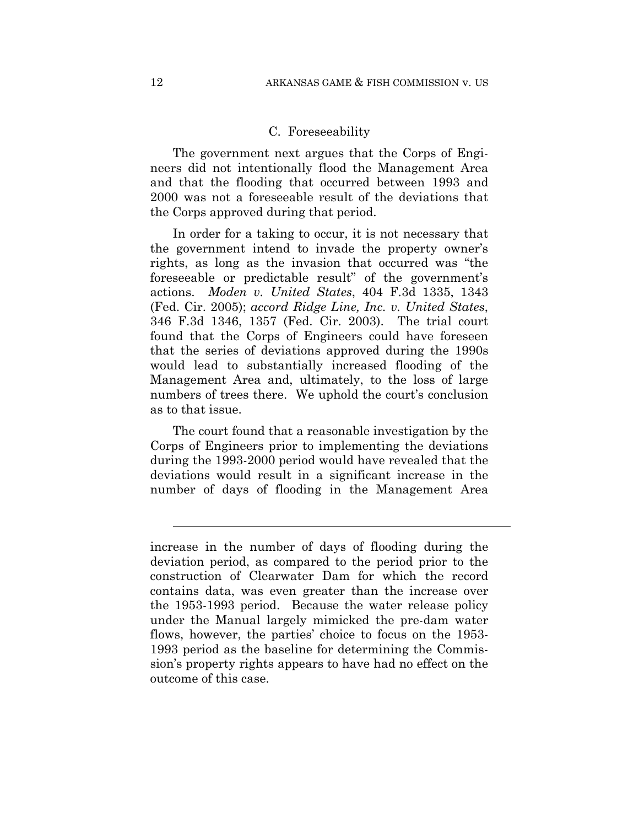#### C. Foreseeability

The government next argues that the Corps of Engineers did not intentionally flood the Management Area and that the flooding that occurred between 1993 and 2000 was not a foreseeable result of the deviations that the Corps approved during that period.

In order for a taking to occur, it is not necessary that the government intend to invade the property owner's rights, as long as the invasion that occurred was "the foreseeable or predictable result" of the government's actions. *Moden v. United States*, 404 F.3d 1335, 1343 (Fed. Cir. 2005); *accord Ridge Line, Inc. v. United States*, 346 F.3d 1346, 1357 (Fed. Cir. 2003). The trial court found that the Corps of Engineers could have foreseen that the series of deviations approved during the 1990s would lead to substantially increased flooding of the Management Area and, ultimately, to the loss of large numbers of trees there. We uphold the court's conclusion as to that issue.

The court found that a reasonable investigation by the Corps of Engineers prior to implementing the deviations during the 1993-2000 period would have revealed that the deviations would result in a significant increase in the number of days of flooding in the Management Area

 $\overline{a}$ 

increase in the number of days of flooding during the deviation period, as compared to the period prior to the construction of Clearwater Dam for which the record contains data, was even greater than the increase over the 1953-1993 period. Because the water release policy under the Manual largely mimicked the pre-dam water flows, however, the parties' choice to focus on the 1953- 1993 period as the baseline for determining the Commission's property rights appears to have had no effect on the outcome of this case.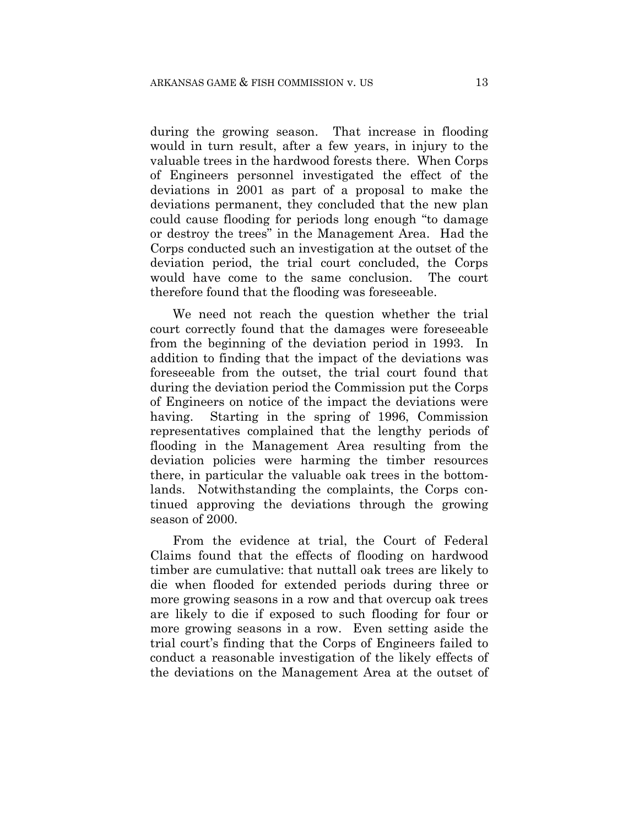during the growing season. That increase in flooding would in turn result, after a few years, in injury to the valuable trees in the hardwood forests there. When Corps of Engineers personnel investigated the effect of the deviations in 2001 as part of a proposal to make the deviations permanent, they concluded that the new plan could cause flooding for periods long enough "to damage or destroy the trees" in the Management Area. Had the Corps conducted such an investigation at the outset of the deviation period, the trial court concluded, the Corps would have come to the same conclusion. The court therefore found that the flooding was foreseeable.

We need not reach the question whether the trial court correctly found that the damages were foreseeable from the beginning of the deviation period in 1993. In addition to finding that the impact of the deviations was foreseeable from the outset, the trial court found that during the deviation period the Commission put the Corps of Engineers on notice of the impact the deviations were having. Starting in the spring of 1996, Commission representatives complained that the lengthy periods of flooding in the Management Area resulting from the deviation policies were harming the timber resources there, in particular the valuable oak trees in the bottomlands. Notwithstanding the complaints, the Corps continued approving the deviations through the growing season of 2000.

From the evidence at trial, the Court of Federal Claims found that the effects of flooding on hardwood timber are cumulative: that nuttall oak trees are likely to die when flooded for extended periods during three or more growing seasons in a row and that overcup oak trees are likely to die if exposed to such flooding for four or more growing seasons in a row. Even setting aside the trial court's finding that the Corps of Engineers failed to conduct a reasonable investigation of the likely effects of the deviations on the Management Area at the outset of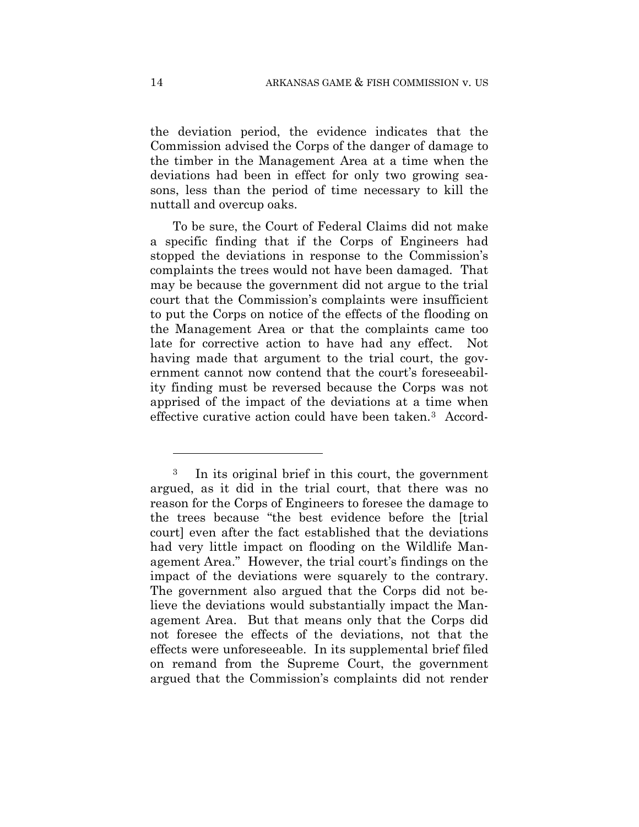the deviation period, the evidence indicates that the Commission advised the Corps of the danger of damage to the timber in the Management Area at a time when the deviations had been in effect for only two growing seasons, less than the period of time necessary to kill the nuttall and overcup oaks.

To be sure, the Court of Federal Claims did not make a specific finding that if the Corps of Engineers had stopped the deviations in response to the Commission's complaints the trees would not have been damaged. That may be because the government did not argue to the trial court that the Commission's complaints were insufficient to put the Corps on notice of the effects of the flooding on the Management Area or that the complaints came too late for corrective action to have had any effect. Not having made that argument to the trial court, the government cannot now contend that the court's foreseeability finding must be reversed because the Corps was not apprised of the impact of the deviations at a time when effective curative action could have been taken  $3$  Accord-

1

<sup>3</sup> In its original brief in this court, the government argued, as it did in the trial court, that there was no reason for the Corps of Engineers to foresee the damage to the trees because "the best evidence before the [trial court] even after the fact established that the deviations had very little impact on flooding on the Wildlife Management Area." However, the trial court's findings on the impact of the deviations were squarely to the contrary. The government also argued that the Corps did not believe the deviations would substantially impact the Management Area. But that means only that the Corps did not foresee the effects of the deviations, not that the effects were unforeseeable. In its supplemental brief filed on remand from the Supreme Court, the government argued that the Commission's complaints did not render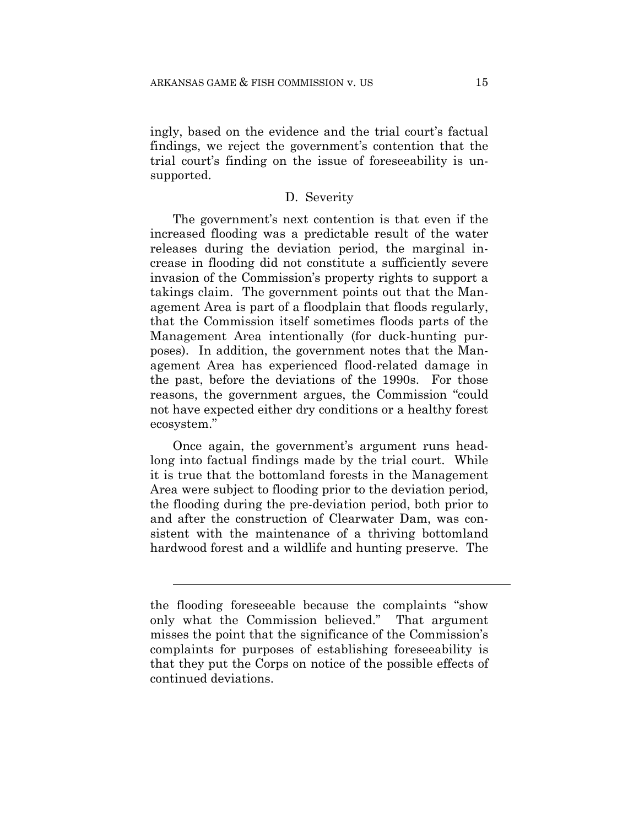ingly, based on the evidence and the trial court's factual findings, we reject the government's contention that the trial court's finding on the issue of foreseeability is unsupported.

## D. Severity

The government's next contention is that even if the increased flooding was a predictable result of the water releases during the deviation period, the marginal increase in flooding did not constitute a sufficiently severe invasion of the Commission's property rights to support a takings claim. The government points out that the Management Area is part of a floodplain that floods regularly, that the Commission itself sometimes floods parts of the Management Area intentionally (for duck-hunting purposes). In addition, the government notes that the Management Area has experienced flood-related damage in the past, before the deviations of the 1990s. For those reasons, the government argues, the Commission "could not have expected either dry conditions or a healthy forest ecosystem."

Once again, the government's argument runs headlong into factual findings made by the trial court. While it is true that the bottomland forests in the Management Area were subject to flooding prior to the deviation period, the flooding during the pre-deviation period, both prior to and after the construction of Clearwater Dam, was consistent with the maintenance of a thriving bottomland hardwood forest and a wildlife and hunting preserve. The

l

the flooding foreseeable because the complaints "show only what the Commission believed." That argument misses the point that the significance of the Commission's complaints for purposes of establishing foreseeability is that they put the Corps on notice of the possible effects of continued deviations.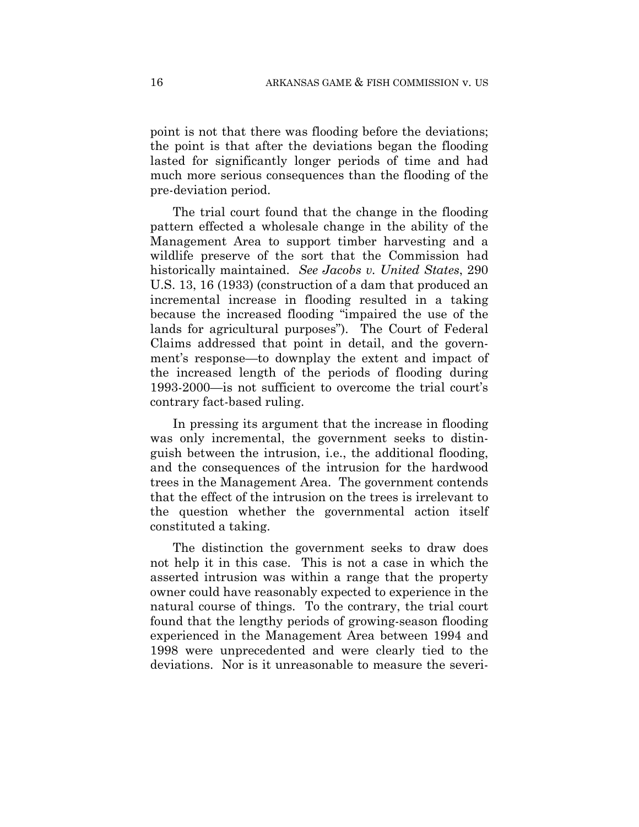point is not that there was flooding before the deviations; the point is that after the deviations began the flooding lasted for significantly longer periods of time and had much more serious consequences than the flooding of the pre-deviation period.

The trial court found that the change in the flooding pattern effected a wholesale change in the ability of the Management Area to support timber harvesting and a wildlife preserve of the sort that the Commission had historically maintained. *See Jacobs v. United States*, 290 U.S. 13, 16 (1933) (construction of a dam that produced an incremental increase in flooding resulted in a taking because the increased flooding "impaired the use of the lands for agricultural purposes"). The Court of Federal Claims addressed that point in detail, and the government's response—to downplay the extent and impact of the increased length of the periods of flooding during 1993-2000—is not sufficient to overcome the trial court's contrary fact-based ruling.

In pressing its argument that the increase in flooding was only incremental, the government seeks to distinguish between the intrusion, i.e., the additional flooding, and the consequences of the intrusion for the hardwood trees in the Management Area. The government contends that the effect of the intrusion on the trees is irrelevant to the question whether the governmental action itself constituted a taking.

The distinction the government seeks to draw does not help it in this case. This is not a case in which the asserted intrusion was within a range that the property owner could have reasonably expected to experience in the natural course of things. To the contrary, the trial court found that the lengthy periods of growing-season flooding experienced in the Management Area between 1994 and 1998 were unprecedented and were clearly tied to the deviations. Nor is it unreasonable to measure the severi-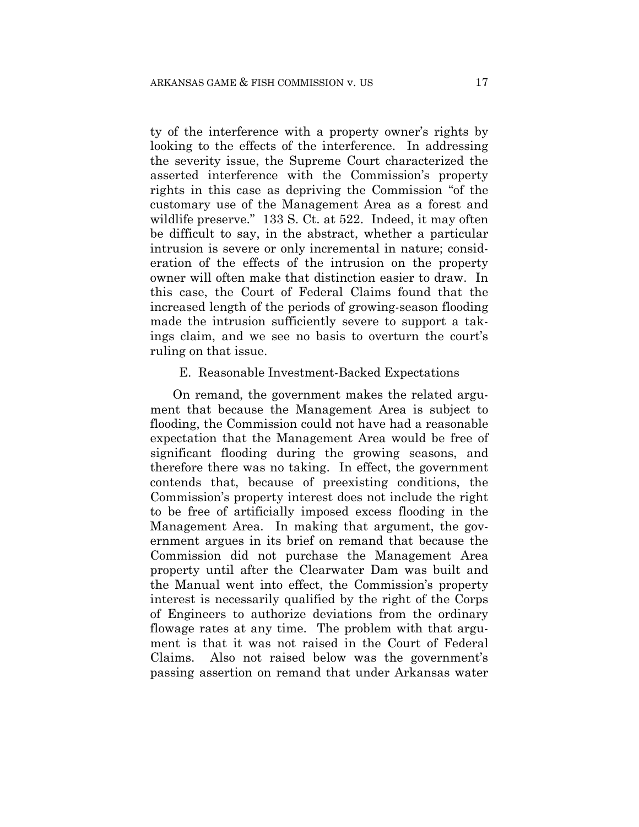ty of the interference with a property owner's rights by looking to the effects of the interference. In addressing the severity issue, the Supreme Court characterized the asserted interference with the Commission's property rights in this case as depriving the Commission "of the customary use of the Management Area as a forest and wildlife preserve." 133 S. Ct. at 522. Indeed, it may often be difficult to say, in the abstract, whether a particular intrusion is severe or only incremental in nature; consideration of the effects of the intrusion on the property owner will often make that distinction easier to draw. In this case, the Court of Federal Claims found that the increased length of the periods of growing-season flooding made the intrusion sufficiently severe to support a takings claim, and we see no basis to overturn the court's ruling on that issue.

## E. Reasonable Investment-Backed Expectations

On remand, the government makes the related argument that because the Management Area is subject to flooding, the Commission could not have had a reasonable expectation that the Management Area would be free of significant flooding during the growing seasons, and therefore there was no taking. In effect, the government contends that, because of preexisting conditions, the Commission's property interest does not include the right to be free of artificially imposed excess flooding in the Management Area. In making that argument, the government argues in its brief on remand that because the Commission did not purchase the Management Area property until after the Clearwater Dam was built and the Manual went into effect, the Commission's property interest is necessarily qualified by the right of the Corps of Engineers to authorize deviations from the ordinary flowage rates at any time. The problem with that argument is that it was not raised in the Court of Federal Claims. Also not raised below was the government's passing assertion on remand that under Arkansas water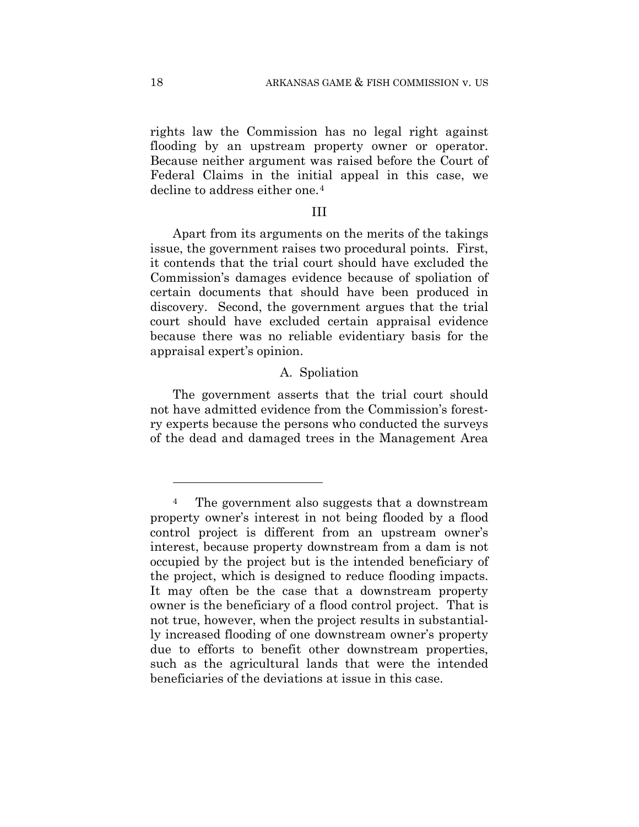rights law the Commission has no legal right against flooding by an upstream property owner or operator. Because neither argument was raised before the Court of Federal Claims in the initial appeal in this case, we decline to address either one.<sup>4</sup>

#### III

Apart from its arguments on the merits of the takings issue, the government raises two procedural points. First, it contends that the trial court should have excluded the Commission's damages evidence because of spoliation of certain documents that should have been produced in discovery. Second, the government argues that the trial court should have excluded certain appraisal evidence because there was no reliable evidentiary basis for the appraisal expert's opinion.

# A. Spoliation

The government asserts that the trial court should not have admitted evidence from the Commission's forestry experts because the persons who conducted the surveys of the dead and damaged trees in the Management Area

<u>.</u>

The government also suggests that a downstream property owner's interest in not being flooded by a flood control project is different from an upstream owner's interest, because property downstream from a dam is not occupied by the project but is the intended beneficiary of the project, which is designed to reduce flooding impacts. It may often be the case that a downstream property owner is the beneficiary of a flood control project. That is not true, however, when the project results in substantially increased flooding of one downstream owner's property due to efforts to benefit other downstream properties, such as the agricultural lands that were the intended beneficiaries of the deviations at issue in this case.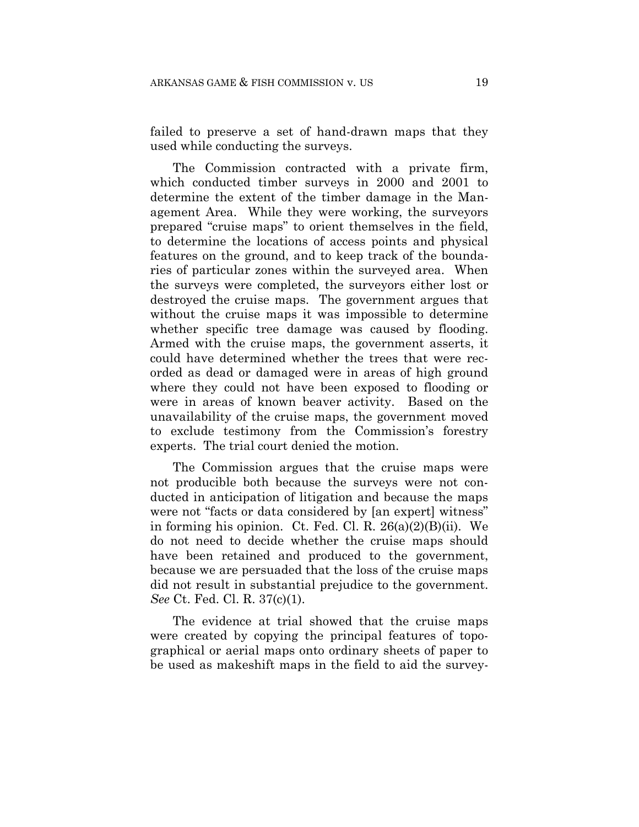failed to preserve a set of hand-drawn maps that they used while conducting the surveys.

The Commission contracted with a private firm, which conducted timber surveys in 2000 and 2001 to determine the extent of the timber damage in the Management Area. While they were working, the surveyors prepared "cruise maps" to orient themselves in the field, to determine the locations of access points and physical features on the ground, and to keep track of the boundaries of particular zones within the surveyed area. When the surveys were completed, the surveyors either lost or destroyed the cruise maps. The government argues that without the cruise maps it was impossible to determine whether specific tree damage was caused by flooding. Armed with the cruise maps, the government asserts, it could have determined whether the trees that were recorded as dead or damaged were in areas of high ground where they could not have been exposed to flooding or were in areas of known beaver activity. Based on the unavailability of the cruise maps, the government moved to exclude testimony from the Commission's forestry experts. The trial court denied the motion.

The Commission argues that the cruise maps were not producible both because the surveys were not conducted in anticipation of litigation and because the maps were not "facts or data considered by [an expert] witness" in forming his opinion. Ct. Fed. Cl. R. 26(a)(2)(B)(ii). We do not need to decide whether the cruise maps should have been retained and produced to the government, because we are persuaded that the loss of the cruise maps did not result in substantial prejudice to the government. *See* Ct. Fed. Cl. R. 37(c)(1).

The evidence at trial showed that the cruise maps were created by copying the principal features of topographical or aerial maps onto ordinary sheets of paper to be used as makeshift maps in the field to aid the survey-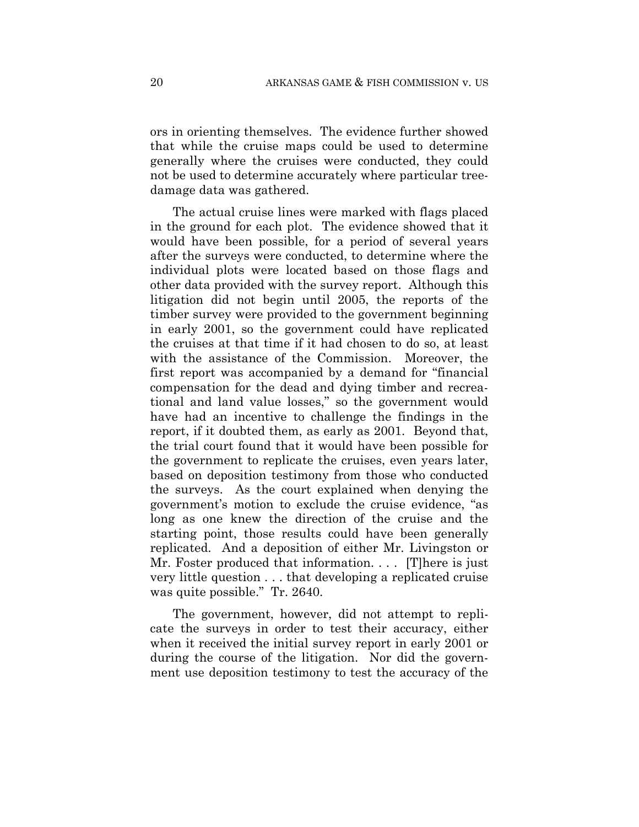ors in orienting themselves. The evidence further showed that while the cruise maps could be used to determine generally where the cruises were conducted, they could not be used to determine accurately where particular treedamage data was gathered.

The actual cruise lines were marked with flags placed in the ground for each plot. The evidence showed that it would have been possible, for a period of several years after the surveys were conducted, to determine where the individual plots were located based on those flags and other data provided with the survey report. Although this litigation did not begin until 2005, the reports of the timber survey were provided to the government beginning in early 2001, so the government could have replicated the cruises at that time if it had chosen to do so, at least with the assistance of the Commission. Moreover, the first report was accompanied by a demand for "financial compensation for the dead and dying timber and recreational and land value losses," so the government would have had an incentive to challenge the findings in the report, if it doubted them, as early as 2001. Beyond that, the trial court found that it would have been possible for the government to replicate the cruises, even years later, based on deposition testimony from those who conducted the surveys. As the court explained when denying the government's motion to exclude the cruise evidence, "as long as one knew the direction of the cruise and the starting point, those results could have been generally replicated. And a deposition of either Mr. Livingston or Mr. Foster produced that information. . . . [T] here is just very little question . . . that developing a replicated cruise was quite possible." Tr. 2640.

The government, however, did not attempt to replicate the surveys in order to test their accuracy, either when it received the initial survey report in early 2001 or during the course of the litigation. Nor did the government use deposition testimony to test the accuracy of the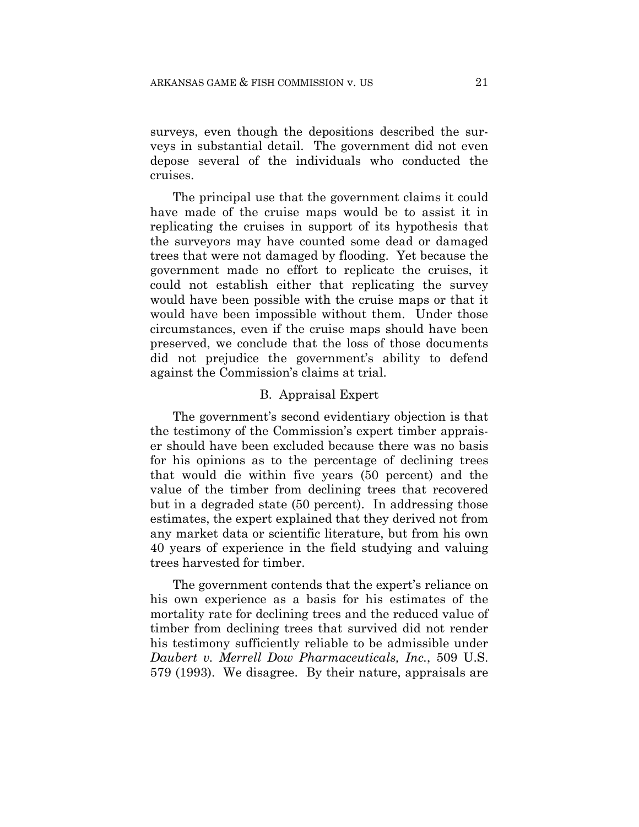surveys, even though the depositions described the surveys in substantial detail. The government did not even depose several of the individuals who conducted the cruises.

The principal use that the government claims it could have made of the cruise maps would be to assist it in replicating the cruises in support of its hypothesis that the surveyors may have counted some dead or damaged trees that were not damaged by flooding. Yet because the government made no effort to replicate the cruises, it could not establish either that replicating the survey would have been possible with the cruise maps or that it would have been impossible without them. Under those circumstances, even if the cruise maps should have been preserved, we conclude that the loss of those documents did not prejudice the government's ability to defend against the Commission's claims at trial.

#### B. Appraisal Expert

The government's second evidentiary objection is that the testimony of the Commission's expert timber appraiser should have been excluded because there was no basis for his opinions as to the percentage of declining trees that would die within five years (50 percent) and the value of the timber from declining trees that recovered but in a degraded state (50 percent). In addressing those estimates, the expert explained that they derived not from any market data or scientific literature, but from his own 40 years of experience in the field studying and valuing trees harvested for timber.

The government contends that the expert's reliance on his own experience as a basis for his estimates of the mortality rate for declining trees and the reduced value of timber from declining trees that survived did not render his testimony sufficiently reliable to be admissible under *Daubert v. Merrell Dow Pharmaceuticals, Inc.*, 509 U.S. 579 (1993). We disagree. By their nature, appraisals are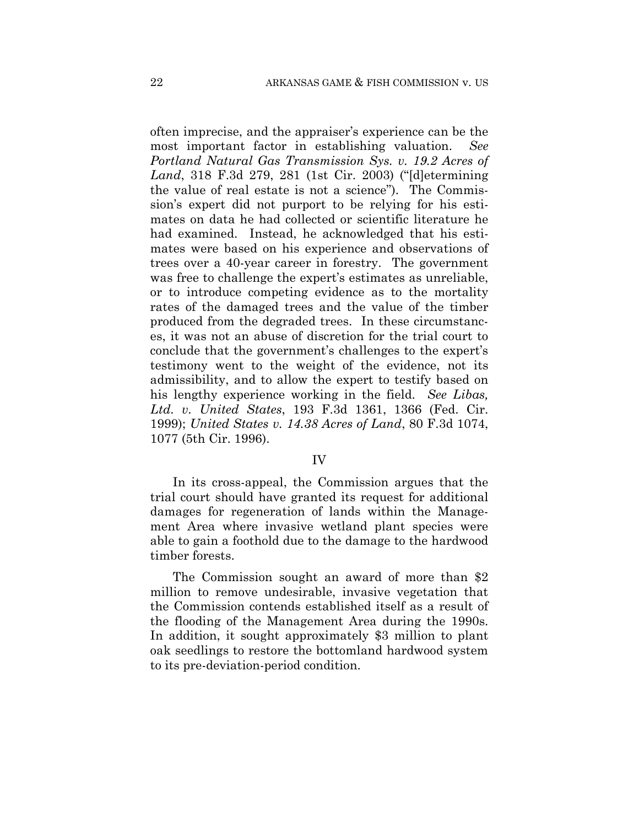often imprecise, and the appraiser's experience can be the most important factor in establishing valuation. *See Portland Natural Gas Transmission Sys. v. 19.2 Acres of Land*, 318 F.3d 279, 281 (1st Cir. 2003) ("[d]etermining the value of real estate is not a science"). The Commission's expert did not purport to be relying for his estimates on data he had collected or scientific literature he had examined. Instead, he acknowledged that his estimates were based on his experience and observations of trees over a 40-year career in forestry. The government was free to challenge the expert's estimates as unreliable, or to introduce competing evidence as to the mortality rates of the damaged trees and the value of the timber produced from the degraded trees. In these circumstances, it was not an abuse of discretion for the trial court to conclude that the government's challenges to the expert's testimony went to the weight of the evidence, not its admissibility, and to allow the expert to testify based on his lengthy experience working in the field. *See Libas, Ltd. v. United States*, 193 F.3d 1361, 1366 (Fed. Cir. 1999); *United States v. 14.38 Acres of Land*, 80 F.3d 1074, 1077 (5th Cir. 1996).

# IV

In its cross-appeal, the Commission argues that the trial court should have granted its request for additional damages for regeneration of lands within the Management Area where invasive wetland plant species were able to gain a foothold due to the damage to the hardwood timber forests.

The Commission sought an award of more than \$2 million to remove undesirable, invasive vegetation that the Commission contends established itself as a result of the flooding of the Management Area during the 1990s. In addition, it sought approximately \$3 million to plant oak seedlings to restore the bottomland hardwood system to its pre-deviation-period condition.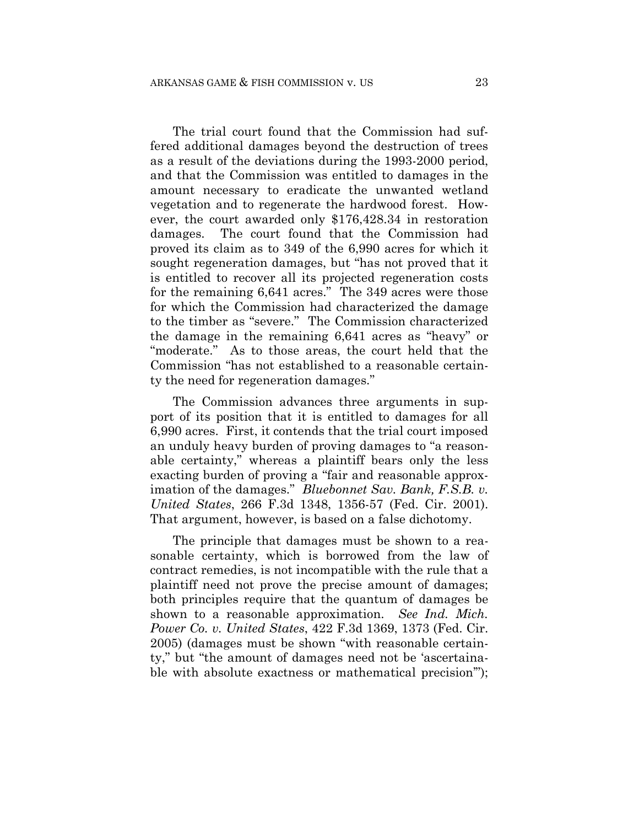The trial court found that the Commission had suffered additional damages beyond the destruction of trees as a result of the deviations during the 1993-2000 period, and that the Commission was entitled to damages in the amount necessary to eradicate the unwanted wetland vegetation and to regenerate the hardwood forest. However, the court awarded only \$176,428.34 in restoration damages. The court found that the Commission had proved its claim as to 349 of the 6,990 acres for which it sought regeneration damages, but "has not proved that it is entitled to recover all its projected regeneration costs for the remaining 6,641 acres." The 349 acres were those for which the Commission had characterized the damage to the timber as "severe." The Commission characterized the damage in the remaining 6,641 acres as "heavy" or "moderate." As to those areas, the court held that the Commission "has not established to a reasonable certainty the need for regeneration damages."

The Commission advances three arguments in support of its position that it is entitled to damages for all 6,990 acres. First, it contends that the trial court imposed an unduly heavy burden of proving damages to "a reasonable certainty," whereas a plaintiff bears only the less exacting burden of proving a "fair and reasonable approximation of the damages." *Bluebonnet Sav. Bank, F.S.B. v. United States*, 266 F.3d 1348, 1356-57 (Fed. Cir. 2001). That argument, however, is based on a false dichotomy.

The principle that damages must be shown to a reasonable certainty, which is borrowed from the law of contract remedies, is not incompatible with the rule that a plaintiff need not prove the precise amount of damages; both principles require that the quantum of damages be shown to a reasonable approximation. *See Ind. Mich. Power Co. v. United States*, 422 F.3d 1369, 1373 (Fed. Cir. 2005) (damages must be shown "with reasonable certainty," but "the amount of damages need not be 'ascertainable with absolute exactness or mathematical precision'");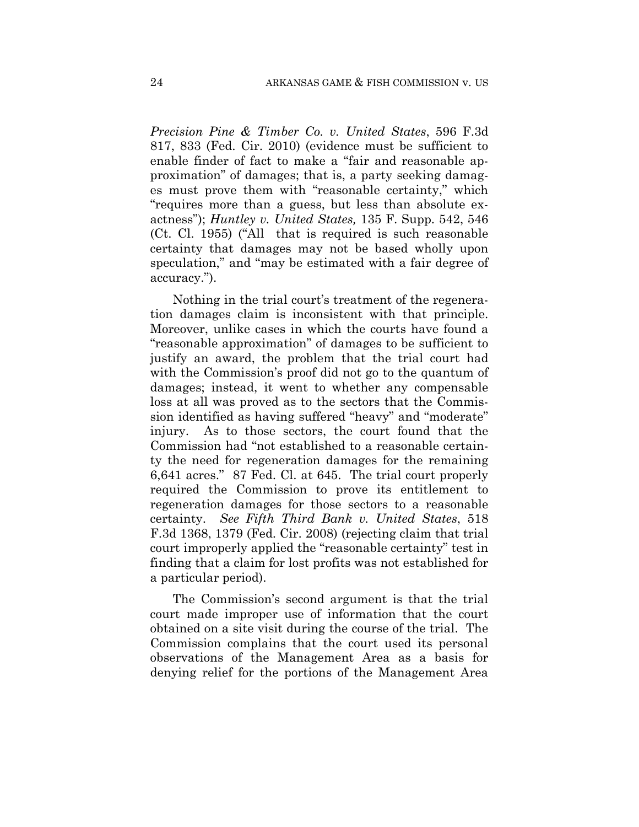*Precision Pine & Timber Co. v. United States*, 596 F.3d 817, 833 (Fed. Cir. 2010) (evidence must be sufficient to enable finder of fact to make a "fair and reasonable approximation" of damages; that is, a party seeking damages must prove them with "reasonable certainty," which "requires more than a guess, but less than absolute exactness"); *Huntley v. United States,* 135 F. Supp. 542, 546 (Ct. Cl. 1955) ("All that is required is such reasonable certainty that damages may not be based wholly upon speculation," and "may be estimated with a fair degree of accuracy.").

Nothing in the trial court's treatment of the regeneration damages claim is inconsistent with that principle. Moreover, unlike cases in which the courts have found a "reasonable approximation" of damages to be sufficient to justify an award, the problem that the trial court had with the Commission's proof did not go to the quantum of damages; instead, it went to whether any compensable loss at all was proved as to the sectors that the Commission identified as having suffered "heavy" and "moderate" injury. As to those sectors, the court found that the Commission had "not established to a reasonable certainty the need for regeneration damages for the remaining 6,641 acres." 87 Fed. Cl. at 645. The trial court properly required the Commission to prove its entitlement to regeneration damages for those sectors to a reasonable certainty. *See Fifth Third Bank v. United States*, 518 F.3d 1368, 1379 (Fed. Cir. 2008) (rejecting claim that trial court improperly applied the "reasonable certainty" test in finding that a claim for lost profits was not established for a particular period).

The Commission's second argument is that the trial court made improper use of information that the court obtained on a site visit during the course of the trial. The Commission complains that the court used its personal observations of the Management Area as a basis for denying relief for the portions of the Management Area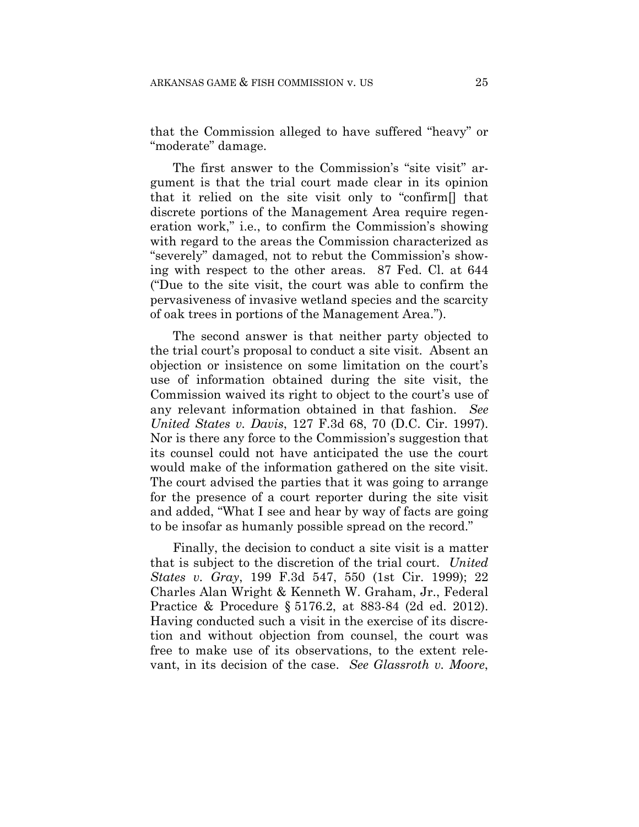that the Commission alleged to have suffered "heavy" or "moderate" damage.

The first answer to the Commission's "site visit" argument is that the trial court made clear in its opinion that it relied on the site visit only to "confirm[] that discrete portions of the Management Area require regeneration work," i.e., to confirm the Commission's showing with regard to the areas the Commission characterized as "severely" damaged, not to rebut the Commission's showing with respect to the other areas. 87 Fed. Cl. at 644 ("Due to the site visit, the court was able to confirm the pervasiveness of invasive wetland species and the scarcity of oak trees in portions of the Management Area.").

The second answer is that neither party objected to the trial court's proposal to conduct a site visit. Absent an objection or insistence on some limitation on the court's use of information obtained during the site visit, the Commission waived its right to object to the court's use of any relevant information obtained in that fashion. *See United States v. Davis*, 127 F.3d 68, 70 (D.C. Cir. 1997). Nor is there any force to the Commission's suggestion that its counsel could not have anticipated the use the court would make of the information gathered on the site visit. The court advised the parties that it was going to arrange for the presence of a court reporter during the site visit and added, "What I see and hear by way of facts are going to be insofar as humanly possible spread on the record."

Finally, the decision to conduct a site visit is a matter that is subject to the discretion of the trial court. *United States v. Gray*, 199 F.3d 547, 550 (1st Cir. 1999); 22 Charles Alan Wright & Kenneth W. Graham, Jr., Federal Practice & Procedure § 5176.2, at 883-84 (2d ed. 2012). Having conducted such a visit in the exercise of its discretion and without objection from counsel, the court was free to make use of its observations, to the extent relevant, in its decision of the case. *See Glassroth v. Moore*,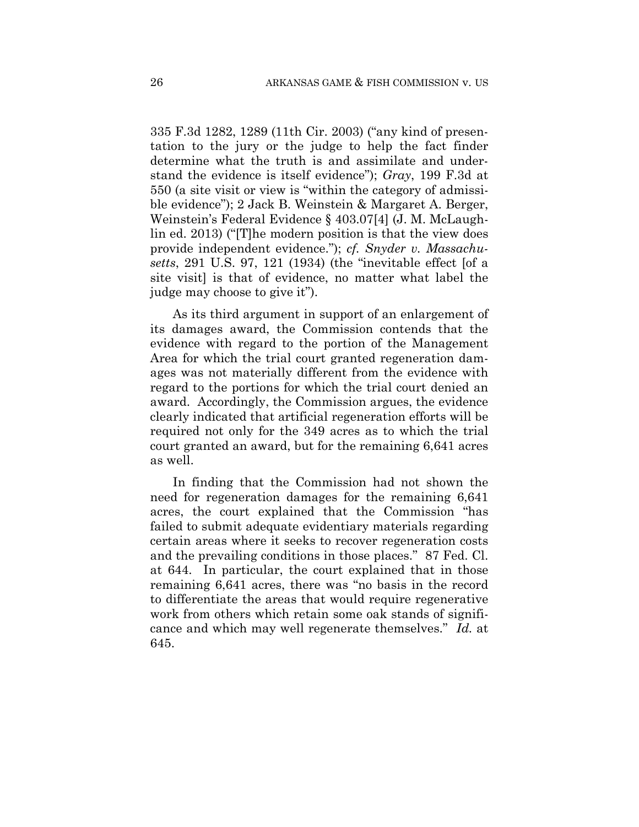335 F.3d 1282, 1289 (11th Cir. 2003) ("any kind of presentation to the jury or the judge to help the fact finder determine what the truth is and assimilate and understand the evidence is itself evidence"); *Gray*, 199 F.3d at 550 (a site visit or view is "within the category of admissible evidence"); 2 Jack B. Weinstein & Margaret A. Berger, Weinstein's Federal Evidence § 403.07[4] (J. M. McLaughlin ed. 2013) ("[T]he modern position is that the view does provide independent evidence."); *cf. Snyder v. Massachusetts*, 291 U.S. 97, 121 (1934) (the "inevitable effect [of a site visit] is that of evidence, no matter what label the judge may choose to give it").

As its third argument in support of an enlargement of its damages award, the Commission contends that the evidence with regard to the portion of the Management Area for which the trial court granted regeneration damages was not materially different from the evidence with regard to the portions for which the trial court denied an award. Accordingly, the Commission argues, the evidence clearly indicated that artificial regeneration efforts will be required not only for the 349 acres as to which the trial court granted an award, but for the remaining 6,641 acres as well.

In finding that the Commission had not shown the need for regeneration damages for the remaining 6,641 acres, the court explained that the Commission "has failed to submit adequate evidentiary materials regarding certain areas where it seeks to recover regeneration costs and the prevailing conditions in those places." 87 Fed. Cl. at 644. In particular, the court explained that in those remaining 6,641 acres, there was "no basis in the record to differentiate the areas that would require regenerative work from others which retain some oak stands of significance and which may well regenerate themselves." *Id.* at 645.